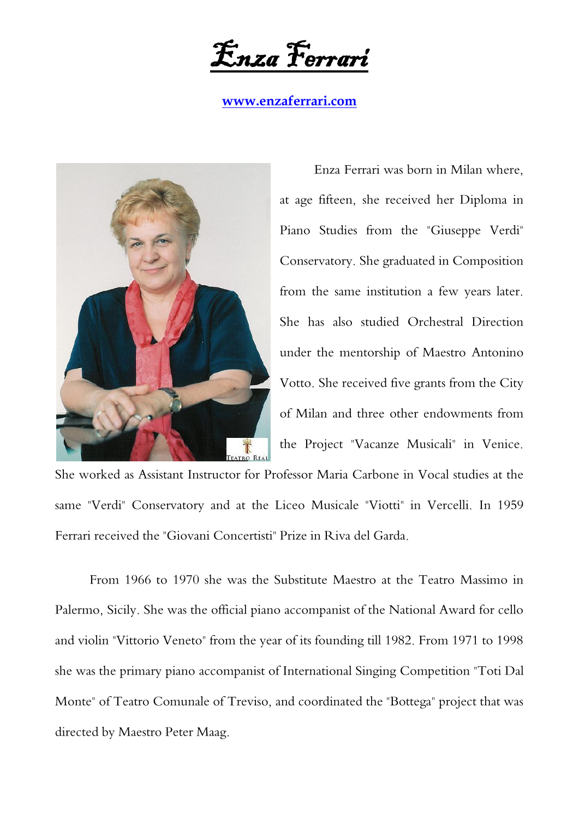Enza Ferrari

**[www.enzaferrari.com](http://www.enzaferrari.com/)**



Enza Ferrari was born in Milan where, at age fifteen, she received her Diploma in Piano Studies from the "Giuseppe Verdi" Conservatory. She graduated in Composition from the same institution a few years later. She has also studied Orchestral Direction under the mentorship of Maestro Antonino Votto. She received five grants from the City of Milan and three other endowments from the Project "Vacanze Musicali" in Venice.

She worked as Assistant Instructor for Professor Maria Carbone in Vocal studies at the same "Verdi" Conservatory and at the Liceo Musicale "Viotti" in Vercelli. In 1959 Ferrari received the "Giovani Concertisti" Prize in Riva del Garda.

From 1966 to 1970 she was the Substitute Maestro at the Teatro Massimo in Palermo, Sicily. She was the official piano accompanist of the National Award for cello and violin "Vittorio Veneto" from the year of its founding till 1982. From 1971 to 1998 she was the primary piano accompanist of International Singing Competition "Toti Dal Monte" of Teatro Comunale of Treviso, and coordinated the "Bottega" project that was directed by Maestro Peter Maag.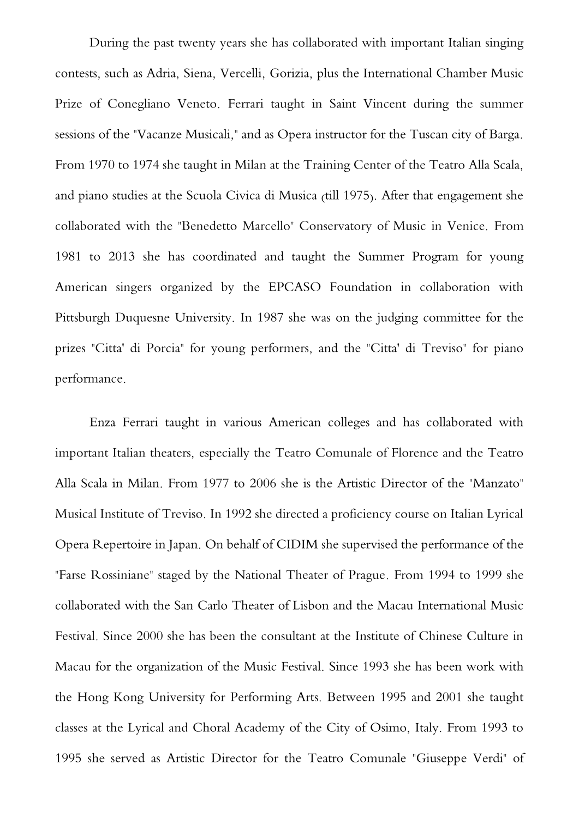During the past twenty years she has collaborated with important Italian singing contests, such as Adria, Siena, Vercelli, Gorizia, plus the International Chamber Music Prize of Conegliano Veneto. Ferrari taught in Saint Vincent during the summer sessions of the "Vacanze Musicali," and as Opera instructor for the Tuscan city of Barga. From 1970 to 1974 she taught in Milan at the Training Center of the Teatro Alla Scala, and piano studies at the Scuola Civica di Musica (till 1975). After that engagement she collaborated with the "Benedetto Marcello" Conservatory of Music in Venice. From 1981 to 2013 she has coordinated and taught the Summer Program for young American singers organized by the EPCASO Foundation in collaboration with Pittsburgh Duquesne University. In 1987 she was on the judging committee for the prizes "Citta' di Porcia" for young performers, and the "Citta' di Treviso" for piano performance.

Enza Ferrari taught in various American colleges and has collaborated with important Italian theaters, especially the Teatro Comunale of Florence and the Teatro Alla Scala in Milan. From 1977 to 2006 she is the Artistic Director of the "Manzato" Musical Institute of Treviso. In 1992 she directed a proficiency course on Italian Lyrical Opera Repertoire in Japan. On behalf of CIDIM she supervised the performance of the "Farse Rossiniane" staged by the National Theater of Prague. From 1994 to 1999 she collaborated with the San Carlo Theater of Lisbon and the Macau International Music Festival. Since 2000 she has been the consultant at the Institute of Chinese Culture in Macau for the organization of the Music Festival. Since 1993 she has been work with the Hong Kong University for Performing Arts. Between 1995 and 2001 she taught classes at the Lyrical and Choral Academy of the City of Osimo, Italy. From 1993 to 1995 she served as Artistic Director for the Teatro Comunale "Giuseppe Verdi" of